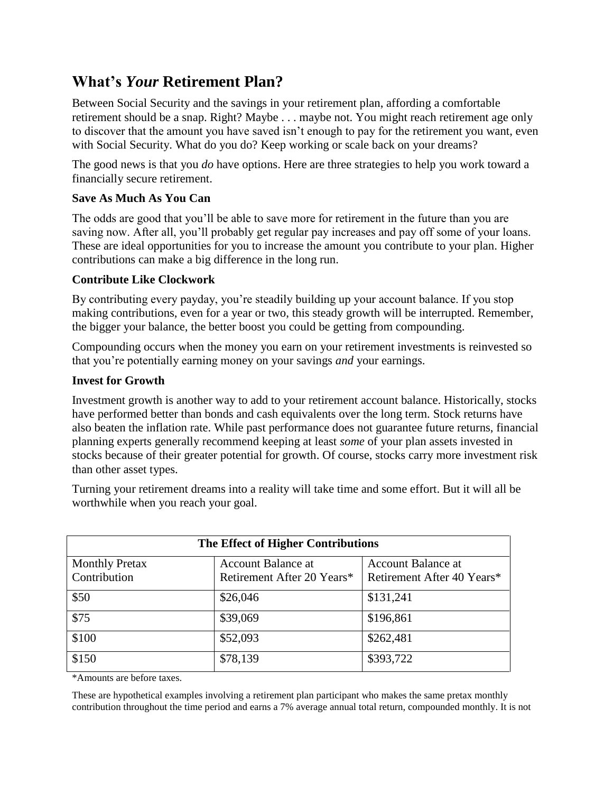## **What's** *Your* **Retirement Plan?**

Between Social Security and the savings in your retirement plan, affording a comfortable retirement should be a snap. Right? Maybe . . . maybe not. You might reach retirement age only to discover that the amount you have saved isn't enough to pay for the retirement you want, even with Social Security. What do you do? Keep working or scale back on your dreams?

The good news is that you *do* have options. Here are three strategies to help you work toward a financially secure retirement.

## **Save As Much As You Can**

The odds are good that you'll be able to save more for retirement in the future than you are saving now. After all, you'll probably get regular pay increases and pay off some of your loans. These are ideal opportunities for you to increase the amount you contribute to your plan. Higher contributions can make a big difference in the long run.

## **Contribute Like Clockwork**

By contributing every payday, you're steadily building up your account balance. If you stop making contributions, even for a year or two, this steady growth will be interrupted. Remember, the bigger your balance, the better boost you could be getting from compounding.

Compounding occurs when the money you earn on your retirement investments is reinvested so that you're potentially earning money on your savings *and* your earnings.

## **Invest for Growth**

Investment growth is another way to add to your retirement account balance. Historically, stocks have performed better than bonds and cash equivalents over the long term. Stock returns have also beaten the inflation rate. While past performance does not guarantee future returns, financial planning experts generally recommend keeping at least *some* of your plan assets invested in stocks because of their greater potential for growth. Of course, stocks carry more investment risk than other asset types.

Turning your retirement dreams into a reality will take time and some effort. But it will all be worthwhile when you reach your goal.

| The Effect of Higher Contributions |                            |                            |
|------------------------------------|----------------------------|----------------------------|
|                                    |                            |                            |
| <b>Monthly Pretax</b>              | <b>Account Balance at</b>  | <b>Account Balance at</b>  |
| Contribution                       | Retirement After 20 Years* | Retirement After 40 Years* |
| \$50                               | \$26,046                   | \$131,241                  |
| \$75                               | \$39,069                   | \$196,861                  |
| \$100                              | \$52,093                   | \$262,481                  |
| \$150                              | \$78,139                   | \$393,722                  |

\*Amounts are before taxes.

These are hypothetical examples involving a retirement plan participant who makes the same pretax monthly contribution throughout the time period and earns a 7% average annual total return, compounded monthly. It is not